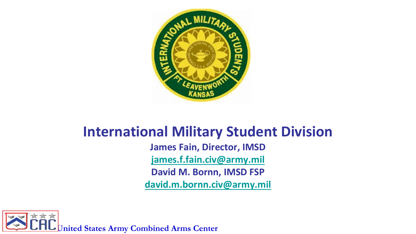

## **International Military Student Division James Fain, Director, IMSD [james.f.fain.civ@army.mil](mailto:james.f.fain.civ@army.mil) David M. Bornn, IMSD FSP [david.m.bornn.civ@army.mil](mailto:david.m.bornn.civ@army.mil)**

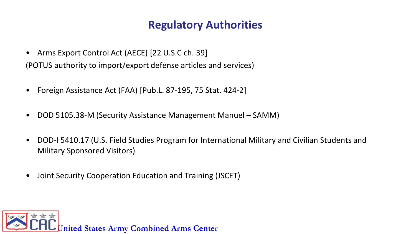### **Regulatory Authorities**

- Arms Export Control Act (AECE) [22 U.S.C ch. 39] (POTUS authority to import/export defense articles and services)
- Foreign Assistance Act (FAA) [Pub.L. 87-195, 75 Stat. 424-2]
- DOD 5105.38-M (Security Assistance Management Manuel SAMM)
- DOD-I 5410.17 (U.S. Field Studies Program for International Military and Civilian Students and Military Sponsored Visitors)
- Joint Security Cooperation Education and Training (JSCET)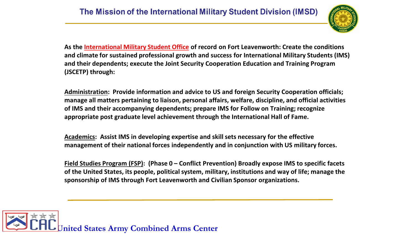

**As the International Military Student Office of record on Fort Leavenworth: Create the conditions and climate for sustained professional growth and success for International Military Students (IMS) and their dependents; execute the Joint Security Cooperation Education and Training Program (JSCETP) through:**

**Administration: Provide information and advice to US and foreign Security Cooperation officials; manage all matters pertaining to liaison, personal affairs, welfare, discipline, and official activities of IMS and their accompanying dependents; prepare IMS for Follow on Training; recognize appropriate post graduate level achievement through the International Hall of Fame.** 

**Academics: Assist IMS in developing expertise and skill sets necessary for the effective management of their national forces independently and in conjunction with US military forces.**

**Field Studies Program (FSP): (Phase 0 – Conflict Prevention) Broadly expose IMS to specific facets of the United States, its people, political system, military, institutions and way of life; manage the sponsorship of IMS through Fort Leavenworth and Civilian Sponsor organizations.**

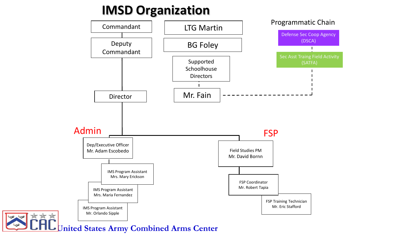## **IMSD Organization**



**United States Army Combined Arms Center**

\*\*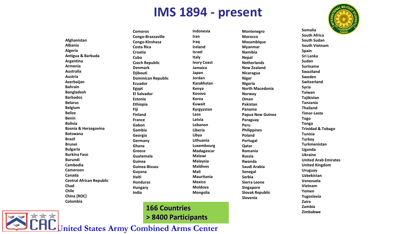## **IMS 1894 - present**



**Afghanistan Albania Algeria Antigua & Barbuda Argentina Armenia Australia Austria Azerbaijan Bahrain Bangladesh Barbados Belarus Belgium Belize Benin Bolivia Bosnia & Herzegovina Botswana Brazil Brunei Bulgaria Burkina Faso Burundi Cambodia Cameroon Canada Central African Republic Chad Chile China (ROC) Colombia** 

**Comoros Congo-Brazzaville Congo-Kinshasa Costa Rica Croatia Cuba Czech Republic Denmark Djibouti Dominican Republic Ecuador Egypt El Salvador Estonia Ethiopia Fiji Finland France Gabon Gambia Georgia Germany Ghana Greece Guatemala Guinea Guinea-Bissau Guyana Haiti Honduras Hungary India**

**Indonesia Iran Iraq Ireland Israel Italy Ivory Coast Jamaica Japan Jordan Kazakhstan Kenya Kosovo Korea Kuwait Kyrgyzstan Laos Latvia Lebanon Liberia Libya Lithuania Luxembourg Madagascar Malawi Malaysia Maldives Mali Mauritania Mexico Moldova Mongolia**

**Montenegro Morocco Mozambique Myanmar Namibia Nepal Netherlands New Zealand Nicaragua Niger Nigeria North Macedonia Norway Oman Pakistan Panama Papua New Guinea Paraguay Peru Philippines Poland Portugal Qatar Romania Russia Rwanda Saudi Arabia Senegal Serbia Sierra Leone Singapore Slovak Republic Slovenia** 

**Somalia South Africa South Sudan South Vietnam Spain Sri Lanka Sudan Suriname Swaziland Sweden Switzerland Syria Taiwan Tajikistan Tanzania Thailand Timor-Leste Togo Tonga Trinidad & Tobago Tunisia Turkey Turkmenistan Uganda Ukraine United Arab Emirates United Kingdom Uruguay Uzbekistan Venezuela Vietnam Yemen Yugoslavia Zaire Zambia 166 Countries Countries Countries Particular 2** ambia

**United States Army Combined Arms Center > 8400 Participants**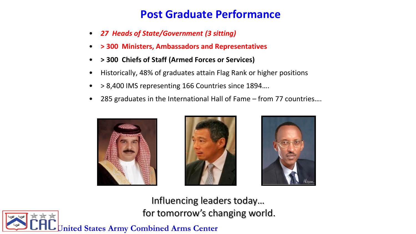### **Post Graduate Performance**

- *27 Heads of State/Government (3 sitting)*
- **> 300 Ministers, Ambassadors and Representatives**
- **> 300 Chiefs of Staff (Armed Forces or Services)**
- Historically, 48% of graduates attain Flag Rank or higher positions
- > 8,400 IMS representing 166 Countries since 1894….
- 285 graduates in the International Hall of Fame from 77 countries….







Influencing leaders today… for tomorrow's changing world.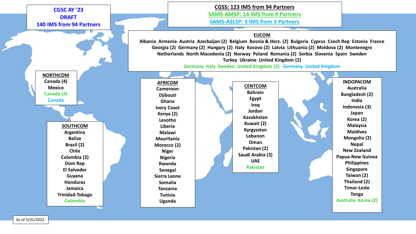

As of 5/31/2022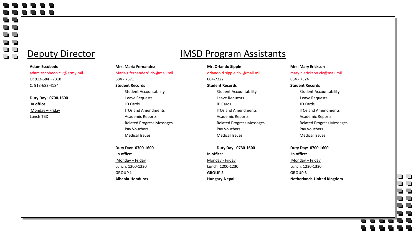$\blacksquare$ L I

۳ د د ت د

### Deputy Director

#### **Adam Escobedo** [adam.escobedo.civ@army.mil](mailto:adam.escobedo.civ@army.mil) O: 913-684 –7318 C: 913-683-4184

**Duty Day: 0700-1600 In office:** Monday – Friday Lunch TBD

### 684 - 7371 **Student Records** Student Accountability Leave Requests ID Cards ITOs and Amendments Academic Reports Related Progress Messages Pay Vouchers Medical Issues

[Maria.r.fernandez8.civ@mail.mil](mailto:Maria.r.fernandez8.civ@mail.mil)

**Mrs. Maria Fernandez**

#### **Duty Day: 0700-1600 In office:** Monday – Friday Lunch, 1200-1230 **GROUP 1 Albania-Honduras**

### IMSD Program Assistants

### **Mr. Orlando Sipple** orlando.d.sipple.civ @mail.mil 684-7322 **Student Records** Student Accountability Leave Requests ID Cards ITOs and Amendments Academic Reports Related Progress Messages Pay Vouchers Medical Issues

#### **Duty Day: 0730-1600**

**In office:** Monday - Friday Lunch, 1200-1230 **GROUP 2 Hungary-Nepal**

### **Mrs. Mary Erickson**

[mary.c.erickson.civ@mail.mil](mailto:mary.c.erickson.civ@mail.mil) 684 - 7324 **Student Records**

> Student Accountability Leave Requests ID Cards ITOs and Amendments Academic Reports Related Progress Messages Pay Vouchers Medical Issues

**Duty Day: 0700-1600 In office:** Monday – Friday Lunch, 1230-1330 **GROUP 3 Netherlands-United Kingdom**

## נו נ  $\mathbf{r}$  $\overline{\phantom{a}}$  $\overline{\phantom{a}}$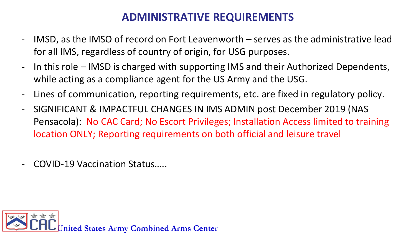### **ADMINISTRATIVE REQUIREMENTS**

- IMSD, as the IMSO of record on Fort Leavenworth  $-$  serves as the administrative lead for all IMS, regardless of country of origin, for USG purposes.
- In this role IMSD is charged with supporting IMS and their Authorized Dependents, while acting as a compliance agent for the US Army and the USG.
- Lines of communication, reporting requirements, etc. are fixed in regulatory policy.
- SIGNIFICANT & IMPACTFUL CHANGES IN IMS ADMIN post December 2019 (NAS Pensacola): No CAC Card; No Escort Privileges; Installation Access limited to training location ONLY; Reporting requirements on both official and leisure travel
- COVID-19 Vaccination Status…..

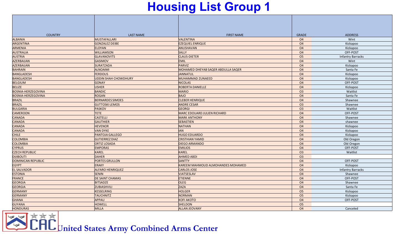## **Housing List Group 1**

| <b>COUNTRY</b>            | <b>LAST NAME</b>        | <b>FIRST NAME</b>                  | <b>GRADE</b>   | <b>ADDRESS</b>           |
|---------------------------|-------------------------|------------------------------------|----------------|--------------------------|
| <b>ALBANIA</b>            | MUSTAFALLARI            | <b>VALENTINA</b>                   | <b>O4</b>      | Wint                     |
| <b>ARGENTINA</b>          | <b>GONZALEZ DEIBE</b>   | <b>EZEQUIEL ENRIQUE</b>            | <b>O4</b>      | Kickapoo                 |
| ARMENIA                   | <b>ELOYAN</b>           | ANUSHAVAN                          | <b>O4</b>      | Kickapoo                 |
| <b>AUSTRALIA</b>          | <b>WILLIAMSON</b>       | <b>SALLY</b>                       | <b>O4</b>      | OFF-POST                 |
| <b>AUSTRIA</b>            | <b>GLAVANOVITS</b>      | <b>CLAUS-DIETER</b>                | <b>O5</b>      | <b>Infantry Barracks</b> |
| AZERBAIJAN                | GASIMOV                 | <b>EMIL</b>                        | <b>O4</b>      | Wint                     |
| AZERBAIJAN                | <b>SURATZADA</b>        | PARVIZ                             | <b>O4</b>      | Kickapoo                 |
| <b>BAHRAIN</b>            | <b>ALNOAIMI</b>         | MOHAMED DHEYAB SAQER ABDULLA SAQER | <b>O4</b>      | Santa Fe                 |
| <b>BANGLADESH</b>         | <b>FERDOUS</b>          | JANNATUL                           | O <sub>4</sub> | Kickapoo                 |
| <b>BANGLADESH</b>         | UDDIN SHAH CHOWDHURY    | MUHAMMAD ZUNAEED                   | <b>O4</b>      | Kickapoo                 |
| <b>BELGIUM</b>            | GONAY                   | <b>NICOLAS</b>                     | <b>O4</b>      | OFF-POST                 |
| <b>BELIZE</b>             | <b>USHER</b>            | ROBERTA DANIELLE                   | <b>O4</b>      | Kickapoo                 |
| <b>BOSNIA-HERZEGOVINA</b> | BANDIC                  | <b>MARIO</b>                       | <b>O3</b>      | Waitlist                 |
| <b>BOSNIA-HERZEGOVINA</b> | ROGAN                   | BAJO                               | <b>O4</b>      | Santa Fe                 |
| <b>BRAZIL</b>             | <b>BERNARDES SIMOES</b> | <b>CLEBER HENRIQUE</b>             | <b>O4</b>      | Shawnee                  |
| <b>BRAZIL</b>             | <b>GUTTOSKI LEMOS</b>   | <b>ANDRE CESAR</b>                 | O <sub>3</sub> | Shawnee                  |
| <b>BULGARIA</b>           | PASKOV                  | <b>GEORGI</b>                      | O <sub>3</sub> | Waitlist                 |
| <b>CAMEROON</b>           | TETE                    | MARC EDOUARD JULIEN RICHARD        | O <sub>4</sub> | OFF-POST                 |
| <b>CANADA</b>             | <b>CASTELLI</b>         | <b>MARK ANTHONY</b>                | <b>O4</b>      | Shawnee                  |
| <b>CANADA</b>             | <b>GAUTHIER</b>         | <b>SEBASTIEN</b>                   | <b>O4</b>      | shawnee                  |
| <b>CANADA</b>             | <b>HEVENOR</b>          | <b>NATHAN</b>                      | <b>O4</b>      | Kickapoo                 |
| <b>CANADA</b>             | <b>VAN DYKE</b>         | <b>IAN</b>                         | <b>O4</b>      | Kickapoo                 |
| <b>CHILE</b>              | PANTOJA GALLEGO         | <b>HUGO EDUARDO</b>                | <b>O4</b>      | Kickapoo                 |
| <b>COLOMBIA</b>           | <b>GUTIERREZ DIAZ</b>   | <b>CRISTHIAN YAMID</b>             | <b>O4</b>      | Old Oregon               |
| <b>COLOMBIA</b>           | <b>ORTIZ LOSADA</b>     | <b>DIEGO ARMANDO</b>               | <b>O4</b>      | Old Oregon               |
| <b>CYPRUS</b>             | <b>EMPORAS</b>          | <b>EMILIOS</b>                     | O <sub>4</sub> | OFF-POST                 |
| <b>CZECH REPUBLIC</b>     | KAREL                   | KAREL                              | O <sub>3</sub> | Waitlist                 |
| <b>DIJIBOUTI</b>          | DAHER                   | <b>AHMED ABDI</b>                  | O <sub>3</sub> |                          |
| DOMINICAN REPUBLIC        | <b>PORTES GRULLON</b>   | <b>SANTTY</b>                      | <b>O4</b>      | OFF-POST                 |
| <b>EGYPT</b>              | <b>ERAKY</b>            | KAREEM MAHMOUD ALMOHANDES MOHAMED  | <b>O4</b>      | Kickapoo                 |
| <b>EL SALVADOR</b>        | <b>ALFARO HENRIQUEZ</b> | <b>CARLOS JOSE</b>                 | <b>O4</b>      | <b>Infantry Barracks</b> |
| <b>ESTONIA</b>            | <b>SENIN</b>            | <b>VJATSESLAV</b>                  | <b>O4</b>      | Shawnee                  |
| FRANCE                    | <b>DE SAINT CHAMAS</b>  | <b>ETIENNE</b>                     | <b>O4</b>      | OFF-POST                 |
| <b>GEORGIA</b>            | <b>BITSADZE</b>         | <b>OLEG</b>                        | <b>O4</b>      | Shawnee                  |
| <b>GEORGIA</b>            | ZUBIASHVILI             | ZAZA                               | <b>O4</b>      | Santa Fe                 |
| <b>GERMANY</b>            | <b>KESSELRING</b>       | <b>HOLGER</b>                      | <b>O5</b>      | Kickapoo                 |
| <b>GERMANY</b>            | TAUCHNITZ               | NORMAN                             | <b>O5</b>      | Kickapoo                 |
| <b>GHANA</b>              | APPAU                   | KOFI AKOTO                         | O <sub>4</sub> | OFF-POST                 |
| <b>GUYANA</b>             | <b>HOWELL</b>           | <b>SHELDON</b>                     | <b>O5</b>      |                          |
| <b>HONDURAS</b>           | MILLA                   | <b>ALLAN JEOVANY</b>               | <b>O4</b>      | Canceled                 |

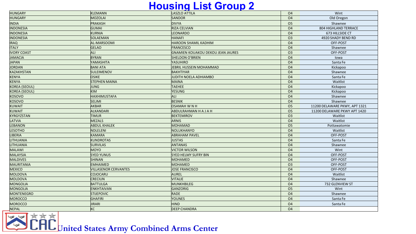### **Housing List Group 2**

| <b>HUNGARY</b>       | <b>KLEMANN</b>              | LASZLO ATTILA                            | <b>O4</b>      | Wint                          |
|----------------------|-----------------------------|------------------------------------------|----------------|-------------------------------|
| <b>HUNGARY</b>       | MOZOLAI                     | SANDOR                                   | O <sub>4</sub> | Old Oregon                    |
| <b>INDIA</b>         | PRAKASH                     | <b>DIVYA</b>                             | <b>O5</b>      | Shawnee                       |
| <b>INDONESIA</b>     | GUMAI                       | <b>RIZA CELVIAN</b>                      | <b>O4</b>      | 804 HIGHLAND TERRACE          |
| <b>INDONESIA</b>     | KURNIA                      | <b>LEONARDO</b>                          | <b>O4</b>      | 673 HILLSIDE CT               |
| <b>INDONESIA</b>     | SOLAEMAN                    | <b>HANAFI</b>                            | <b>O3</b>      | 4920 SHADY BEND RD            |
| <b>IRAQ</b>          | AL-MARSOOMI                 | <b>HAROON SHAMIL KADHIM</b>              | <b>O4</b>      | OFF-POST                      |
| <b>ITALY</b>         | <b>GELAO</b>                | FRANCESCO                                | <b>O4</b>      | Shawnee                       |
| <b>IVORY COAST</b>   | ALI                         | <b>GNAMIEN KOUAKOU DEKOU JEAN JAURES</b> | O <sub>3</sub> | OFF-POST                      |
| <b>JAMACIA</b>       | <b>BYRAN</b>                | SHELDON O'BRIEN                          | <b>O4</b>      | lowa                          |
| <b>JAPAN</b>         | YAMASHITA                   | YASUHIRO                                 | <b>O4</b>      | Santa Fe                      |
| <b>JORDAN</b>        | <b>BANI ATA</b>             | JEBRIL HUSSEIN MOHAMMAD                  | <b>O4</b>      | Kickapoo                      |
| <b>KAZAKHSTAN</b>    | <b>SULEIMENOV</b>           | <b>BAKHTIYAR</b>                         | <b>O4</b>      | Shawnee                       |
| <b>KENYA</b>         | <b>OSIKE</b>                | JUDITH NOELA ADHIAMBO                    | <b>O4</b>      | Santa Fe                      |
| <b>KENYA</b>         | <b>STEPHEN MAINA</b>        | <b>MAINA</b>                             | <b>O4</b>      | Waitlist                      |
| <b>KOREA (SEOUL)</b> | JUNG                        | <b>TAEHEE</b>                            | O <sub>4</sub> | Kickapoo                      |
| <b>KOREA (SEOUL)</b> | <b>KIM</b>                  | YESUNG                                   | <b>O4</b>      | Kickapoo                      |
| <b>KOSOVO</b>        | <b>HAXHIMUSTAFA</b>         | ALI                                      | <b>O4</b>      | Shawnee                       |
| <b>KOSOVO</b>        | <b>SELIMI</b>               | <b>BESNIK</b>                            | <b>O4</b>      | Shawnee                       |
| <b>KUWAIT</b>        | AKBAR                       | OSAMAH W N H                             | O <sub>5</sub> | 11200 DELAWARE PKWY, APT 1321 |
| <b>KUWAIT</b>        | ALKANDARI                   | <b>ABDULRAHMAN H A J A H</b>             | O <sub>5</sub> | 11200 DELAWARE PKWY APT 1420  |
| <b>KYRGYZSTAN</b>    | <b>TIMUR</b>                | <b>BEKTEMIROV</b>                        | <b>O3</b>      | Waitlist                      |
| LATVIA               | MEZALS                      | <b>ARNIS</b>                             | <b>O4</b>      | Waitlist                      |
| <b>LEBANON</b>       | <b>ABDUL KHALEK</b>         | <b>MOHAMAD</b>                           | O <sub>5</sub> | Pottawatomie                  |
| <b>LESOTHO</b>       | NDLELENI                    | NOLUKHANYO                               | <b>O4</b>      | Waitlist                      |
| <b>LIBERIA</b>       | KAMARA                      | <b>ABRAHAM PAVEL</b>                     | <b>O4</b>      | OFF-POST                      |
| LITHUANIA            | <b>KUNDROTAS</b>            | JUSTAS                                   | <b>O4</b>      | Santa Fe                      |
| <b>LITHUANIA</b>     | <b>SURVILAS</b>             | <b>ANTANAS</b>                           | <b>O4</b>      | Shawnee                       |
| <b>MALAWI</b>        | <b>MOYO</b>                 | <b>VICTOR WILSON</b>                     | <b>O4</b>      | Wint                          |
| <b>MALAYSIA</b>      | <b>SYED YUNUS</b>           | <b>SYED HELMY SUFRY BIN</b>              | <b>O4</b>      | OFF-POST                      |
| <b>MALDIVES</b>      | <b>SHINAN</b>               | MOHAMED                                  | <b>O4</b>      | OFF-POST                      |
| <b>MAURITANIA</b>    | <b>EMHAIMED</b>             | <b>MOHAMED</b>                           | O <sub>3</sub> | OFF-POST                      |
| <b>MEXICO</b>        | <b>VILLASENOR CERVANTES</b> | <b>JOSE FRANCISCO</b>                    | <b>O4</b>      | OFF-POST                      |
| <b>MOLDOVA</b>       | COJOCARU                    | AUREL                                    | O <sub>4</sub> | Waitlist                      |
| <b>MOLDOVA</b>       | <b>CRECIUN</b>              | VITALIE                                  | <b>O4</b>      | Shawnee                       |
| <b>MONGOLIA</b>      | <b>BATTULGA</b>             | MUNKHBILEG                               | <b>O4</b>      | 732 GLENVIEW ST               |
| <b>MONGOLIA</b>      | <b>ENKHTAIVAN</b>           | GANZORIG                                 | <b>O5</b>      | Wint                          |
| <b>MONTENEGRO</b>    | <b>STIJEPOVIC</b>           | RADE                                     | <b>O4</b>      | Shawnee                       |
| <b>MOROCCO</b>       | GHAFIRI                     | YOUNES                                   | <b>O4</b>      | Santa Fe                      |
| <b>MOROCCO</b>       | JIRARI                      | <b>HIND</b>                              | <b>O4</b>      | Santa Fe                      |
| <b>NEPAL</b>         | KC                          | <b>DEEP CHANDRA</b>                      | <b>O4</b>      |                               |
|                      |                             |                                          |                |                               |

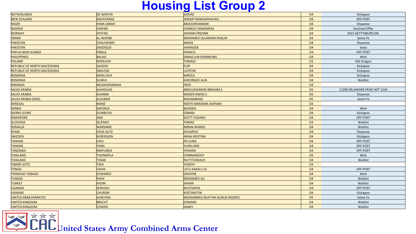## **Housing List Group 2**

| <b>NETHERLANDS</b>                 | <b>DE WINTER</b>   | <b>SJOERD</b>                | <b>O4</b>      | Kickapoo                     |
|------------------------------------|--------------------|------------------------------|----------------|------------------------------|
| <b>NEW ZEALAND</b>                 | MATEPARAE          | <b>JEREMY RANGIWHAIURU</b>   | O <sub>4</sub> | OFF-POST                     |
| <b>NIGER</b>                       | <b>HIMA ZARAFI</b> | <b>ABDOURHAMANE</b>          | <b>O4</b>      | Shawnee                      |
| <b>NIGERIA</b>                     | <b>CHIKWE</b>      | <b>CHINEDU NNAEMEKA</b>      | <b>O4</b>      | <b>Declined Offer</b>        |
| <b>NORWAY</b>                      | <b>OFSTAD</b>      | JOHANN FREDRIK               | <b>O4</b>      | 2415 GETTYSBURG DR.          |
| <b>OMAN</b>                        | <b>AL-WAHIBI</b>   | MOHAMED SULAIMAN KHALAF      | <b>O4</b>      | Santa Fe                     |
| <b>PAKISTAN</b>                    | <b>CHAUHDARY</b>   | <b>AWAIS</b>                 | <b>O4</b>      | Shawnee                      |
| <b>PAKISTAN</b>                    | <b>SADDIQUE</b>    | JAHANZEB                     | <b>O4</b>      | lowa                         |
| <b>PAPUA-NEW GUINEA</b>            | <b>FABILA</b>      | FRANCIS                      | O <sub>4</sub> | OFF-POST                     |
| <b>PHILIPPINES</b>                 | <b>BALAIS</b>      | <b>DIMAS JUN DINAMLING</b>   | <b>O4</b>      | Wint                         |
| <b>POLAND</b>                      | WIERUCKI           | <b>TOMASZ</b>                | O <sub>3</sub> | Old Oregon                   |
| <b>REPUBLIC OF NORTH MACEDONIA</b> | GAJDOV             | FLIIP                        | O <sub>4</sub> | Kickapoo                     |
| <b>REPUBLIC OF NORTH MACEDONIA</b> | <b>SMILESKI</b>    | <b>LJUPCHE</b>               | <b>O4</b>      | Kickapoo                     |
| <b>ROMANIA</b>                     | MERLUSCA           | <b>MIRCEA</b>                | <b>O4</b>      | Kickapoo                     |
| ROMANIA                            | <b>SCARLII</b>     | <b>GHEORGHE ALIN</b>         | <b>O4</b>      | Waitlist                     |
| <b>RWANDA</b>                      | MUDAHERANWA        | <b>FRED</b>                  | O <sub>4</sub> |                              |
| <b>SAUDI ARABIA</b>                | <b>ALHADLAQ</b>    | <b>ABDULRAHMAN IBRAHIM S</b> | <b>O5</b>      | 11200 DELAWARE PKWY APT 1224 |
| <b>SAUDI ARABIA</b>                | <b>ALHARBI</b>     | <b>NASSER AWAD S</b>         | 05             | Shawnee                      |
| <b>SAUDI ARABIA (MOI)</b>          | <b>ALSUBAIE</b>    | MOHAMMAD                     | O <sub>5</sub> | Santa Fe                     |
| <b>SENEGAL</b>                     | <b>MANE</b>        | NDEYE MARIAMA KAPAMA         | O <sub>3</sub> |                              |
| <b>SERBIA</b>                      | <b>SAPONJA</b>     | <b>MLADEN</b>                | <b>O4</b>      | Wint                         |
| <b>SIERRA LEONE</b>                | <b>DUMBUYA</b>     | OSMAN                        | O <sub>4</sub> | Kickapoo                     |
| <b>SINAGPORE</b>                   | ANG                | <b>SCOTT YIQIANG</b>         | <b>O4</b>      | OFF-POST                     |
| <b>SLOVENIA</b>                    | <b>JELENKO</b>     | <b>TOMAZ</b>                 | O <sub>3</sub> | Waitlist                     |
| <b>SOMALIA</b>                     | <b>WARSAME</b>     | <b>IMRAN AHMED</b>           | O <sub>4</sub> | Waitlist                     |
| <b>SPAIN</b>                       | <b>VEGA ALITE</b>  | <b>EDUARDO</b>               | <b>O4</b>      | Shawnee                      |
| <b>SWEDEN</b>                      | <b>BJOERSSON</b>   | <b>ANNA KRISTINA</b>         | O <sub>4</sub> | Kickapoo                     |
| TAIWAN                             | <b>CHIU</b>        | PO-JUNG                      | O <sub>4</sub> | OFF-POST                     |
| <b>TAIWAN</b>                      | <b>YANG</b>        | YUAN-HAN                     | <b>O4</b>      | OFF-POST                     |
| <b>TANZANIA</b>                    | MAPUNDA            | <b>YOHANA</b>                | O <sub>4</sub> | OFF-POST                     |
| <b>THAILAND</b>                    | <b>THONGPILA</b>   | <b>CHINNAWOOT</b>            | <b>O5</b>      | Wint                         |
| <b>THAILAND</b>                    | <b>TOSAK</b>       | NUTTITAWACH                  | <b>O4</b>      | Waitlist                     |
| TIMOR-LESTE                        | <b>TAEK</b>        | <b>YOSEPH</b>                | 03             |                              |
| <b>TONGA</b>                       | <b>VAHAI</b>       | LATU KAKAU LUI               | <b>O4</b>      | OFF-POST                     |
| <b>TRINIDAD-TOBAGO</b>             | <b>EDWARDS</b>     | DWAYNE                       | O <sub>4</sub> | Wint                         |
| <b>TUNISIA</b>                     | RIAHI              | MOHAMED ALI                  | <b>O4</b>      | Waitlist                     |
| <b>TURKEY</b>                      | <b>AYDIN</b>       | <b>SAHAN</b>                 | O <sub>4</sub> | Waitlist                     |
| <b>UGANDA</b>                      | <b>SEMUDU</b>      | <b>MUSTAPHA</b>              | <b>O4</b>      | OFF-POST                     |
| <b>UKRAINE</b>                     | <b>CHURSIN</b>     | <b>KOSTIANTYN</b>            | <b>O4</b>      | Kickapoo                     |
| UNITED ARAB EMIRATES               | <b>ALNEYADI</b>    | MOHAMMED MUFTAH ALMUR RASHED | <b>O5</b>      | Santa Fe                     |
| <b>UNITED KINGDOM</b>              | <b>BRECHT</b>      | <b>EDWARD</b>                | <b>O4</b>      | Waitlist                     |
| <b>UNITED KINGDOM</b>              | <b>COWEN</b>       | <b>JAMES</b>                 | <b>O4</b>      | Waitlist                     |

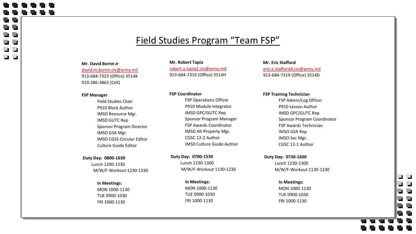### Field Studies Program "Team FSP"

#### **Mr. David Bornn Jr**  david.m.bornn.civ@army.mil 913-684-7323 (Office) 3514K 910-286-3863 (Cell)

#### **FSP Manager**

 $\mathbf{r}$ - 1

 $\blacksquare$ 

Field Studies Chair P910 Block Author IMSO Resource Mgr. IMSD GUTC Rep Sponsor Program Director IMSO GSA Mgr. IMSO CGSS Circular Editor Culture Guide Editor

#### **Duty Day: 0800-1630**

Lunch 1200-1230 M/W/F-Workout 1230-1330

**In Meetings:** MON 1000-1130 TUE 0900-1030 FRI 1000-1130

**Mr. Robert Tapia** robert.a.tapia2.civ@army.mil 913-684-7319 (Office) 3514H

#### **FSP Coordinator**

FSP Operations Officer P910 Module Integrator IMSD GPC/GUTC Rep Sponsor Program Manager FSP Awards Coordinator IMSO Alt Property Mgr. CGSC 12-2 Author IMSD Culture Guide Author

**Duty Day: 0700-1530** Lunch 1230-1300 M/W/F-Workout 1130-1230

> **In Meetings:** MON 1000-1130 TUE 0900-1030 FRI 1000-1130

**Mr. Eric Stafford** eric.e.stafford4.civ@army.mil 913-684-7319 (Office) 3514D

#### **FSP Training Technician**

FSP Admin/Log Officer P910 Lesson Author IMSD GPC/GUTC Rep Sponsor Program Coordinator FSP Awards Technician IMSO GSA Rep IMSO Sec Mgr. CGSC 12-1 Author

**Duty Day: 0730-1600** Lunch 1230-1300 M/W/F-Workout 1130-1230

נו נ

U <u>in d</u>

**In Meetings:** MON 1000-1130 TUE 0900-1030 FRI 1000-1130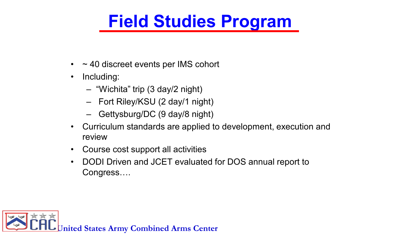## **Field Studies Program**

- $\sim$  40 discreet events per IMS cohort
- Including:
	- "Wichita" trip (3 day/2 night)
	- Fort Riley/KSU (2 day/1 night)
	- Gettysburg/DC (9 day/8 night)
- Curriculum standards are applied to development, execution and review
- Course cost support all activities
- DODI Driven and JCET evaluated for DOS annual report to Congress….

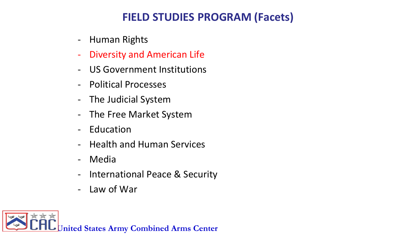### **FIELD STUDIES PROGRAM (Facets)**

- Human Rights
- Diversity and American Life
- US Government Institutions
- Political Processes
- The Judicial System
- The Free Market System
- **Education**
- Health and Human Services
- **Media**
- International Peace & Security
- Law of War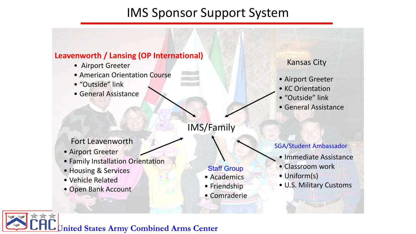## IMS Sponsor Support System



- Airport Greeter
- American Orientation Course
- "Outside" link
- General Assistance

Fort Leavenworth

- Airport Greeter
- Family Installation Orientation
- Housing & Services
- Vehicle Related
- Open Bank Account

Kansas City

- Airport Greeter
- KC Orientation
- "Outside" link
- General Assistance

IMS/Family

**Staff Group** • Academics

• Friendship

• Comraderie

SGA/Student Ambassador

- Immediate Assistance
- Classroom work
- Uniform(s)
- U.S. Military Customs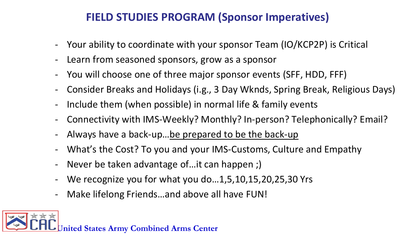## **FIELD STUDIES PROGRAM (Sponsor Imperatives)**

- Your ability to coordinate with your sponsor Team (IO/KCP2P) is Critical
- Learn from seasoned sponsors, grow as a sponsor
- You will choose one of three major sponsor events (SFF, HDD, FFF)
- Consider Breaks and Holidays (i.g., 3 Day Wknds, Spring Break, Religious Days)
- Include them (when possible) in normal life & family events
- Connectivity with IMS-Weekly? Monthly? In-person? Telephonically? Email?
- Always have a back-up...be prepared to be the back-up
- What's the Cost? To you and your IMS-Customs, Culture and Empathy
- Never be taken advantage of... it can happen ;)
- We recognize you for what you do...1,5,10,15,20,25,30 Yrs
- Make lifelong Friends...and above all have FUN!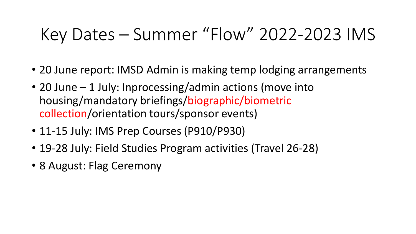# Key Dates – Summer "Flow" 2022-2023 IMS

- 20 June report: IMSD Admin is making temp lodging arrangements
- 20 June 1 July: Inprocessing/admin actions (move into housing/mandatory briefings/biographic/biometric collection/orientation tours/sponsor events)
- 11-15 July: IMS Prep Courses (P910/P930)
- 19-28 July: Field Studies Program activities (Travel 26-28)
- 8 August: Flag Ceremony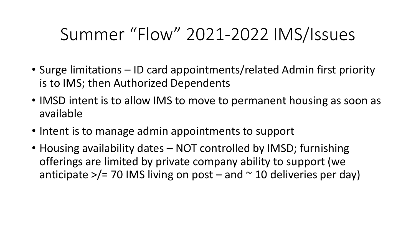# Summer "Flow" 2021-2022 IMS/Issues

- Surge limitations ID card appointments/related Admin first priority is to IMS; then Authorized Dependents
- IMSD intent is to allow IMS to move to permanent housing as soon as available
- Intent is to manage admin appointments to support
- Housing availability dates NOT controlled by IMSD; furnishing offerings are limited by private company ability to support (we anticipate  $\frac{1}{2}$  70 IMS living on post – and  $\frac{1}{2}$  10 deliveries per day)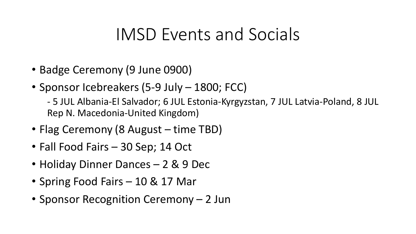## IMSD Events and Socials

- Badge Ceremony (9 June 0900)
- Sponsor Icebreakers (5-9 July 1800; FCC)

- 5 JUL Albania-El Salvador; 6 JUL Estonia-Kyrgyzstan, 7 JUL Latvia-Poland, 8 JUL Rep N. Macedonia-United Kingdom)

- Flag Ceremony (8 August time TBD)
- Fall Food Fairs 30 Sep; 14 Oct
- Holiday Dinner Dances 2 & 9 Dec
- Spring Food Fairs 10 & 17 Mar
- Sponsor Recognition Ceremony 2 Jun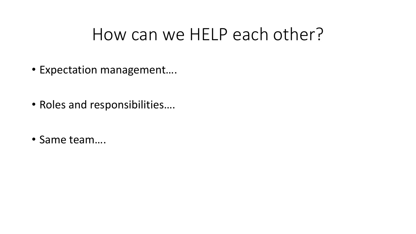## How can we HELP each other?

- Expectation management….
- Roles and responsibilities….
- Same team….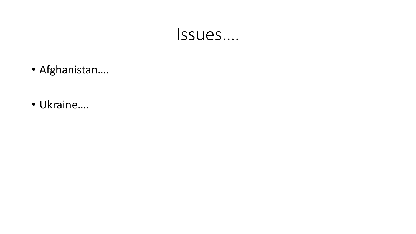## Issues….

- Afghanistan….
- Ukraine….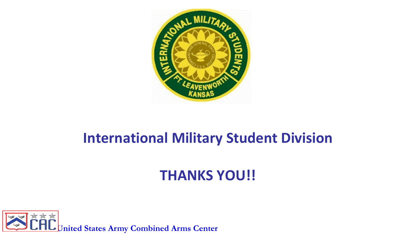

## **International Military Student Division**

## **THANKS YOU!!**

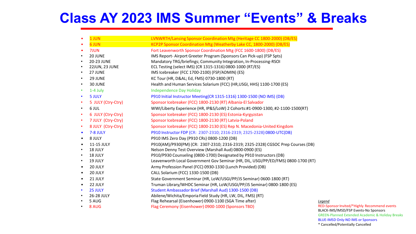## **Class AY 2023 IMS Summer "Events" & Breaks**

|           | 1 JUN              | LVNWRTH/Lansing Sponsor Coordination Mtg (Heritage CC 1800-2000) (DB/ES)          |
|-----------|--------------------|-----------------------------------------------------------------------------------|
|           | <b>6 JUN</b>       | KCP2P Sponsor Coordination Mtg (Weatherby Lake CC, 1800-2000) (DB/ES)             |
|           | 7JUN               | Fort Leavenworth Sponsor Coordination Mtg (FCC 1600-1800) (DB/ES)                 |
|           | 20 JUNE            | IMS Report-Airport Greeter Program (Sponsors Can Pick-up) (FSP Spts)              |
| $\bullet$ | 20-23 JUNE         | Mandatory TRG/briefings; Community Integration, In-Processing-RSOI                |
| $\bullet$ | 22JUN, 23 JUNE     | ECL Testing (select IMS) (CR 1315-1316) 0800-1000 (RT/ES)                         |
| $\bullet$ | 27 JUNE            | IMS Icebreaker (FCC 1700-2100) (FSP/ADMIN) (ES)                                   |
| $\bullet$ | 29 JUNE            | KC Tour (HR, D&AL Ed, FMS) 0730-1800 (RT)                                         |
| $\bullet$ | 30 JUNE            | Health and Human Services Solarium (FCC) (HR, USGI, HHS) 1100-1700 (ES)           |
| ٠         | 1-4 July           | <b>Independence Day Holiday</b>                                                   |
|           | 5 JULY             | P910 Initial Instructor Meeting(CR 1315-1316) 1300-1500 (NO IMS) (DB)             |
|           | 5 JULY (Ctry-Ctry) | Sponsor Icebreaker (FCC) 1800-2130 (RT) Albania-El Salvador                       |
| $\bullet$ | 6 JUL              | WWI/Liberty Experience (HR, IP&S/LoW) 2 Cohorts:#1-0900-1300, #2-1100-1500(RT)    |
| ٠         | 6 JULY (Ctry-Ctry) | Sponsor Icebreaker (FCC) 1800-2130 (ES) Estonia-Kyrgyzstan                        |
| $\bullet$ | 7 JULY (Ctry-Ctry) | Sponsor Icebreaker (FCC) 1800-2130 (RT) Latvia-Poland                             |
| ٠         | 8 JULY (Ctry-Ctry) | Sponsor Icebreaker (FCC) 1800-2130 (ES) Rep N. Macedonia-United Kingdom           |
| $\bullet$ | 7-8 JULY           | P910 Instructor FDP (CR: 2307-2310; 2316-2319; 2325-2328) 0800-UTC(DB)            |
| $\bullet$ | 8 JULY             | P910 IMS Zero Day (P910 CRs) 0800-1200 (DB)                                       |
| $\bullet$ | 11-15 JULY         | P910(AM)/P930(PM) (CR: 2307-2310; 2316-2319; 2325-2328) CGSOC Prep Courses (DB)   |
|           | 18 JULY            | Nelson Denny Test Overview (Marshall Aud) 0800-0900 (ES)                          |
| $\bullet$ | 18 JULY            | P910/P930 Counseling (0800-1700) Designated by P910 Instructors (DB)              |
| $\bullet$ | 19 JULY            | Leavenworth Local Government Gov Seminar (HR, DIL, USGI/PP/ED/FMS) 0800-1700 (RT) |
| $\bullet$ | 20 JULY            | Army Profession Panel (FCC) 0930-1330 (Lunch Provided) (DB)                       |
| $\bullet$ | 20 JULY            | CALL Solarium (FCC) 1330-1500 (DB)                                                |
| $\bullet$ | 21 JULY            | State Government Seminar (HR, LoW/USGI/PP/JS Seminar) 0600-1800 (RT)              |
| $\bullet$ | 22 JULY            | Truman Library/WHDC Seminar (HR, LoW/USGI/PP/JS Seminar) 0800-1800 (ES)           |
| $\bullet$ | 25 JULY            | Student Ambassador Brief (Marshall Aud) 1300-1500 (DB)                            |
|           | 26-28 JULY         | Abilene/Wichita/Emporia Field Study (HR, LW, DIL, FMS) (RT)                       |
|           | 5 AUG              | Flag Rehearsal (Eisenhower) 0900-1100 (SGA Time after)                            |
|           | 8 AUG              | Flag Ceremony (Eisenhower) 0900-1000 (Sponsors TBD)                               |

*Legend*

RED-Sponsor Invited/\*Highly Recommend events BLACK-IMS/IMSD/FSP Events-No Sponsors GREEN-Planned Extended Academic & Holiday Breaks BLUE-IMSD Only-NO IMS or Sponsors \* Cancelled/Potentially Cancelled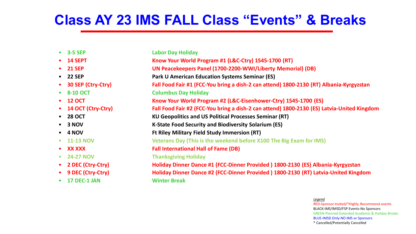## **Class AY 23 IMS FALL Class "Events" & Breaks**

| <b>Labor Day Holiday</b>                                                                   |
|--------------------------------------------------------------------------------------------|
| Know Your World Program #1 (L&C-Ctry) 1545-1700 (RT)                                       |
| UN Peacekeepers Panel (1700-2200-WWI/Liberty Memorial) (DB)                                |
| <b>Park U American Education Systems Seminar (ES)</b>                                      |
| Fall Food Fair #1 (FCC-You bring a dish-2 can attend) 1800-2130 (RT) Albania-Kyrgyzstan    |
| <b>Columbus Day Holiday</b>                                                                |
| Know Your World Program #2 (L&C-Eisenhower-Ctry) 1545-1700 (ES)                            |
| Fall Food Fair #2 (FCC-You bring a dish-2 can attend) 1800-2130 (ES) Latvia-United Kingdom |
| <b>KU Geopolitics and US Political Processes Seminar (RT)</b>                              |
| <b>K-State Food Security and Biodiversity Solarium (ES)</b>                                |
| <b>Ft Riley Military Field Study Immersion (RT)</b>                                        |
| Veterans Day (This is the weekend before X100 The Big Exam for IMS)                        |
| <b>Fall International Hall of Fame (DB)</b>                                                |
| <b>Thanksgiving Holiday</b>                                                                |
| Holiday Dinner Dance #1 (FCC-Dinner Provided) 1800-2130 (ES) Albania-Kyrgyzstan            |
| Holiday Dinner Dance #2 (FCC-Dinner Provided) 1800-2130 (RT) Latvia-United Kingdom         |
| <b>Winter Break</b>                                                                        |
|                                                                                            |

*Legend* RED-Sponsor Invited/\*Highly Recommend events BLACK-IMS/IMSD/FSP Events-No Sponsors GREEN-Planned Extended Academic & Holiday Breaks BLUE-IMSD Only-NO IMS or Sponsors \* Cancelled/Potentially Cancelled